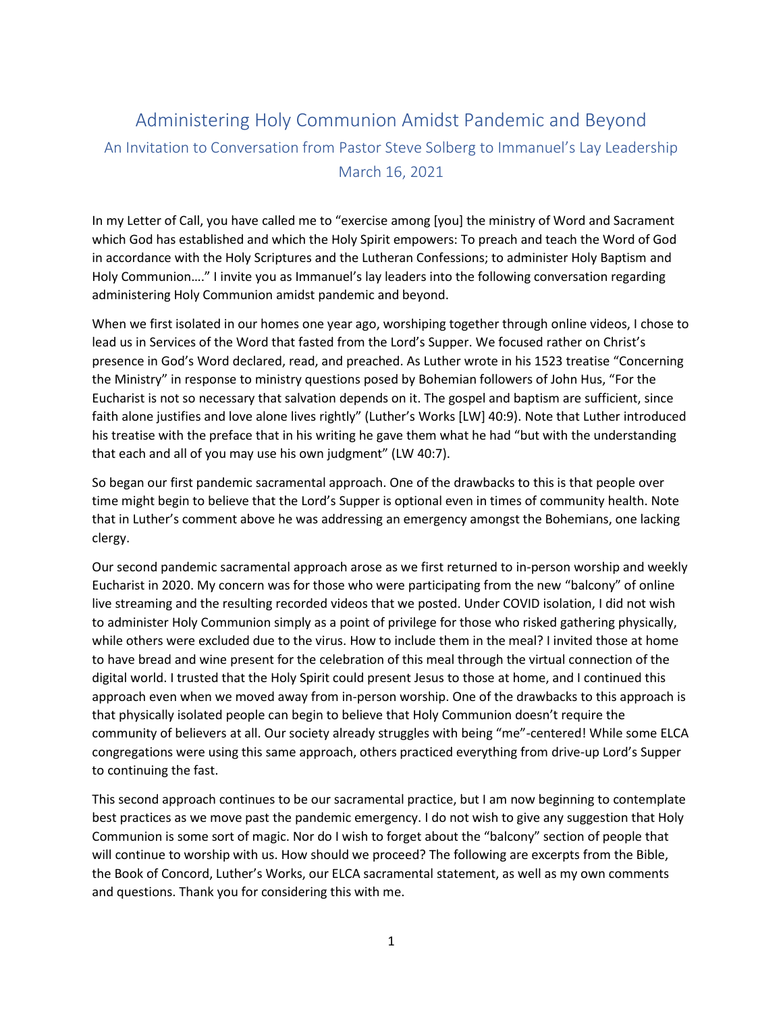# Administering Holy Communion Amidst Pandemic and Beyond An Invitation to Conversation from Pastor Steve Solberg to Immanuel's Lay Leadership March 16, 2021

In my Letter of Call, you have called me to "exercise among [you] the ministry of Word and Sacrament which God has established and which the Holy Spirit empowers: To preach and teach the Word of God in accordance with the Holy Scriptures and the Lutheran Confessions; to administer Holy Baptism and Holy Communion…." I invite you as Immanuel's lay leaders into the following conversation regarding administering Holy Communion amidst pandemic and beyond.

When we first isolated in our homes one year ago, worshiping together through online videos, I chose to lead us in Services of the Word that fasted from the Lord's Supper. We focused rather on Christ's presence in God's Word declared, read, and preached. As Luther wrote in his 1523 treatise "Concerning the Ministry" in response to ministry questions posed by Bohemian followers of John Hus, "For the Eucharist is not so necessary that salvation depends on it. The gospel and baptism are sufficient, since faith alone justifies and love alone lives rightly" (Luther's Works [LW] 40:9). Note that Luther introduced his treatise with the preface that in his writing he gave them what he had "but with the understanding that each and all of you may use his own judgment" (LW 40:7).

So began our first pandemic sacramental approach. One of the drawbacks to this is that people over time might begin to believe that the Lord's Supper is optional even in times of community health. Note that in Luther's comment above he was addressing an emergency amongst the Bohemians, one lacking clergy.

Our second pandemic sacramental approach arose as we first returned to in-person worship and weekly Eucharist in 2020. My concern was for those who were participating from the new "balcony" of online live streaming and the resulting recorded videos that we posted. Under COVID isolation, I did not wish to administer Holy Communion simply as a point of privilege for those who risked gathering physically, while others were excluded due to the virus. How to include them in the meal? I invited those at home to have bread and wine present for the celebration of this meal through the virtual connection of the digital world. I trusted that the Holy Spirit could present Jesus to those at home, and I continued this approach even when we moved away from in-person worship. One of the drawbacks to this approach is that physically isolated people can begin to believe that Holy Communion doesn't require the community of believers at all. Our society already struggles with being "me"-centered! While some ELCA congregations were using this same approach, others practiced everything from drive-up Lord's Supper to continuing the fast.

This second approach continues to be our sacramental practice, but I am now beginning to contemplate best practices as we move past the pandemic emergency. I do not wish to give any suggestion that Holy Communion is some sort of magic. Nor do I wish to forget about the "balcony" section of people that will continue to worship with us. How should we proceed? The following are excerpts from the Bible, the Book of Concord, Luther's Works, our ELCA sacramental statement, as well as my own comments and questions. Thank you for considering this with me.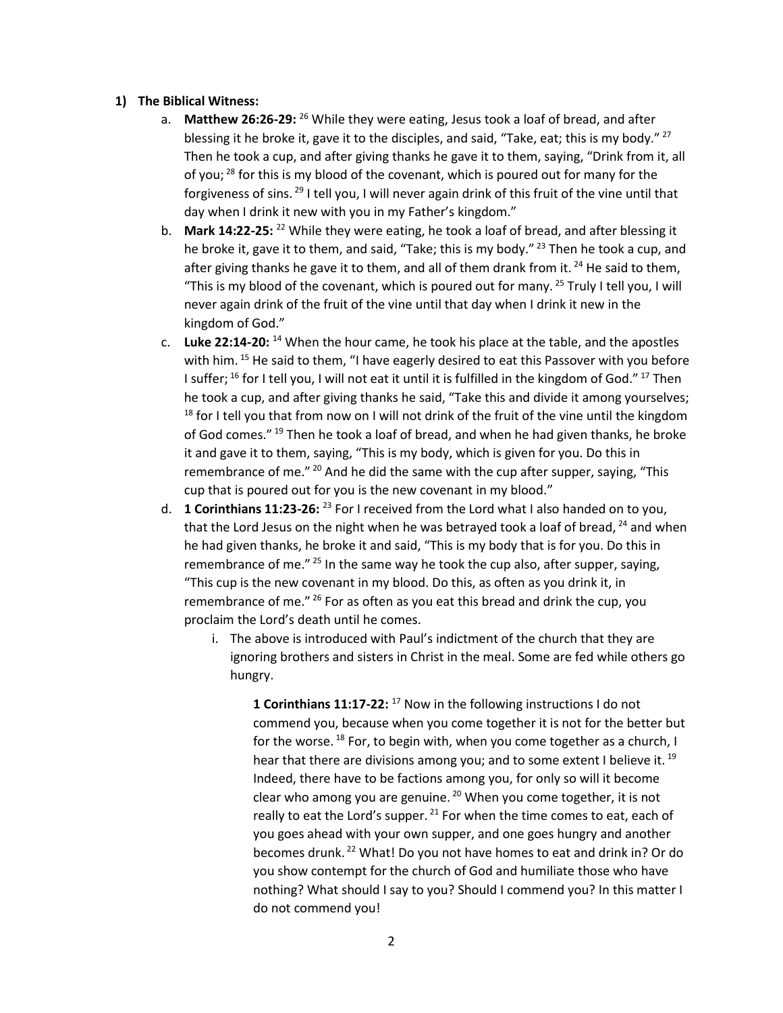#### **1) The Biblical Witness:**

- a. Matthew 26:26-29: <sup>26</sup> While they were eating, Jesus took a loaf of bread, and after blessing it he broke it, gave it to the disciples, and said, "Take, eat; this is my body."<sup>27</sup> Then he took a cup, and after giving thanks he gave it to them, saying, "Drink from it, all of you;  $^{28}$  for this is my blood of the covenant, which is poured out for many for the forgiveness of sins. <sup>29</sup> I tell you, I will never again drink of this fruit of the vine until that day when I drink it new with you in my Father's kingdom."
- b. Mark 14:22-25: <sup>22</sup> While they were eating, he took a loaf of bread, and after blessing it he broke it, gave it to them, and said, "Take; this is my body."  $^{23}$  Then he took a cup, and after giving thanks he gave it to them, and all of them drank from it.  $^{24}$  He said to them, "This is my blood of the covenant, which is poured out for many.  $^{25}$  Truly I tell you, I will never again drink of the fruit of the vine until that day when I drink it new in the kingdom of God."
- c. Luke 22:14-20: <sup>14</sup> When the hour came, he took his place at the table, and the apostles with him. <sup>15</sup> He said to them, "I have eagerly desired to eat this Passover with you before I suffer; <sup>16</sup> for I tell you, I will not eat it until it is fulfilled in the kingdom of God."<sup>17</sup> Then he took a cup, and after giving thanks he said, "Take this and divide it among yourselves; <sup>18</sup> for I tell you that from now on I will not drink of the fruit of the vine until the kingdom of God comes." <sup>19</sup> Then he took a loaf of bread, and when he had given thanks, he broke it and gave it to them, saying, "This is my body, which is given for you. Do this in remembrance of me." <sup>20</sup> And he did the same with the cup after supper, saying, "This cup that is poured out for you is the new covenant in my blood."
- d. **1 Corinthians 11:23-26:** <sup>23</sup> For I received from the Lord what I also handed on to you, that the Lord Jesus on the night when he was betrayed took a loaf of bread,  $^{24}$  and when he had given thanks, he broke it and said, "This is my body that is for you. Do this in remembrance of me." <sup>25</sup> In the same way he took the cup also, after supper, saying, "This cup is the new covenant in my blood. Do this, as often as you drink it, in remembrance of me." <sup>26</sup> For as often as you eat this bread and drink the cup, you proclaim the Lord's death until he comes.
	- i. The above is introduced with Paul's indictment of the church that they are ignoring brothers and sisters in Christ in the meal. Some are fed while others go hungry.

**1 Corinthians 11:17-22:** <sup>17</sup> Now in the following instructions I do not commend you, because when you come together it is not for the better but for the worse.  $^{18}$  For, to begin with, when you come together as a church, I hear that there are divisions among you; and to some extent I believe it.<sup>19</sup> Indeed, there have to be factions among you, for only so will it become clear who among you are genuine.  $^{20}$  When you come together, it is not really to eat the Lord's supper.  $^{21}$  For when the time comes to eat, each of you goes ahead with your own supper, and one goes hungry and another becomes drunk. <sup>22</sup> What! Do you not have homes to eat and drink in? Or do you show contempt for the church of God and humiliate those who have nothing? What should I say to you? Should I commend you? In this matter I do not commend you!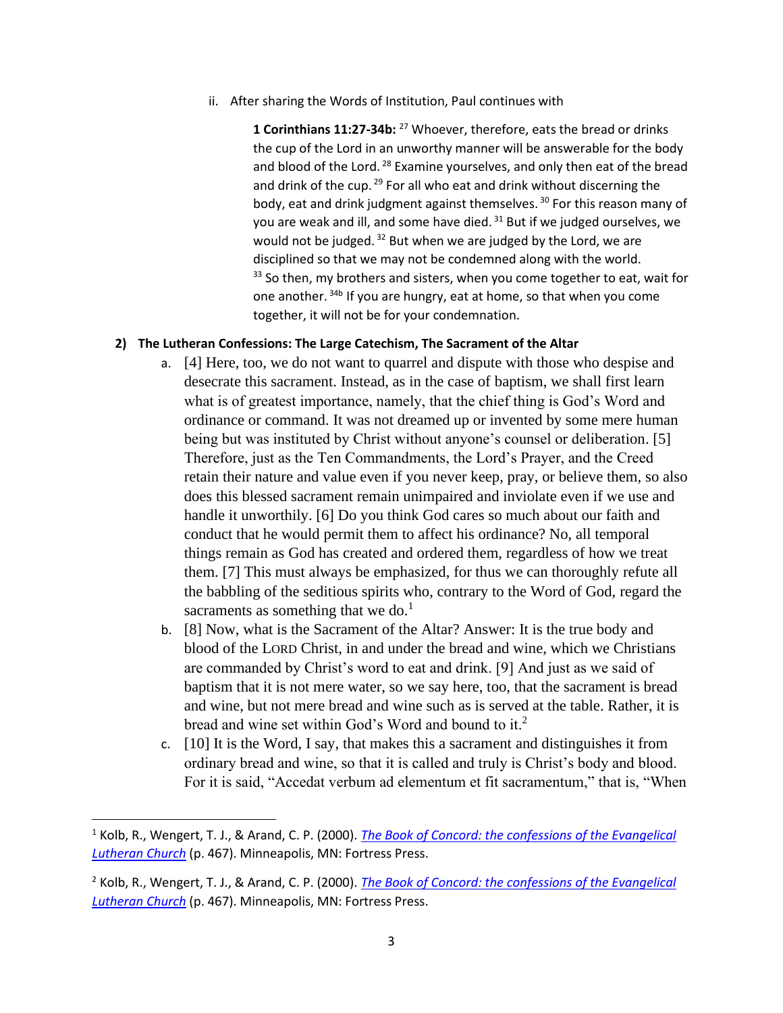ii. After sharing the Words of Institution, Paul continues with

**1 Corinthians 11:27-34b:** <sup>27</sup> Whoever, therefore, eats the bread or drinks the cup of the Lord in an unworthy manner will be answerable for the body and blood of the Lord.<sup>28</sup> Examine yourselves, and only then eat of the bread and drink of the cup.  $29$  For all who eat and drink without discerning the body, eat and drink judgment against themselves.<sup>30</sup> For this reason many of you are weak and ill, and some have died.<sup>31</sup> But if we judged ourselves, we would not be judged.  $32$  But when we are judged by the Lord, we are disciplined so that we may not be condemned along with the world.  $33$  So then, my brothers and sisters, when you come together to eat, wait for one another.<sup>34b</sup> If you are hungry, eat at home, so that when you come together, it will not be for your condemnation.

## **2) The Lutheran Confessions: The Large Catechism, The Sacrament of the Altar**

- a. [4] Here, too, we do not want to quarrel and dispute with those who despise and desecrate this sacrament. Instead, as in the case of baptism, we shall first learn what is of greatest importance, namely, that the chief thing is God's Word and ordinance or command. It was not dreamed up or invented by some mere human being but was instituted by Christ without anyone's counsel or deliberation. [5] Therefore, just as the Ten Commandments, the Lord's Prayer, and the Creed retain their nature and value even if you never keep, pray, or believe them, so also does this blessed sacrament remain unimpaired and inviolate even if we use and handle it unworthily. [6] Do you think God cares so much about our faith and conduct that he would permit them to affect his ordinance? No, all temporal things remain as God has created and ordered them, regardless of how we treat them. [7] This must always be emphasized, for thus we can thoroughly refute all the babbling of the seditious spirits who, contrary to the Word of God, regard the sacraments as something that we do. $<sup>1</sup>$ </sup>
- b. [8] Now, what is the Sacrament of the Altar? Answer: It is the true body and blood of the LORD Christ, in and under the bread and wine, which we Christians are commanded by Christ's word to eat and drink. [9] And just as we said of baptism that it is not mere water, so we say here, too, that the sacrament is bread and wine, but not mere bread and wine such as is served at the table. Rather, it is bread and wine set within God's Word and bound to it.<sup>2</sup>
- c. [10] It is the Word, I say, that makes this a sacrament and distinguishes it from ordinary bread and wine, so that it is called and truly is Christ's body and blood. For it is said, "Accedat verbum ad elementum et fit sacramentum," that is, "When

<sup>1</sup> Kolb, R., Wengert, T. J., & Arand, C. P. (2000). *[The Book of Concord: the confessions of the Evangelical](https://ref.ly/logosres/klbcncrd?ref=Page.p+467&off=1247&ctx=membrance+of+me.%E2%80%99%C2%A0%E2%80%9D%0a~%5b4%5d+Here%2c+too%2c+we+do)  [Lutheran Church](https://ref.ly/logosres/klbcncrd?ref=Page.p+467&off=1247&ctx=membrance+of+me.%E2%80%99%C2%A0%E2%80%9D%0a~%5b4%5d+Here%2c+too%2c+we+do)* (p. 467). Minneapolis, MN: Fortress Press.

<sup>2</sup> Kolb, R., Wengert, T. J., & Arand, C. P. (2000). *[The Book of Concord: the confessions of the Evangelical](https://ref.ly/logosres/klbcncrd?ref=Page.p+467&off=2313&ctx=mething+that+we+do.%0a~%5b8%5d+Now%2c+what+is+the)  [Lutheran Church](https://ref.ly/logosres/klbcncrd?ref=Page.p+467&off=2313&ctx=mething+that+we+do.%0a~%5b8%5d+Now%2c+what+is+the)* (p. 467). Minneapolis, MN: Fortress Press.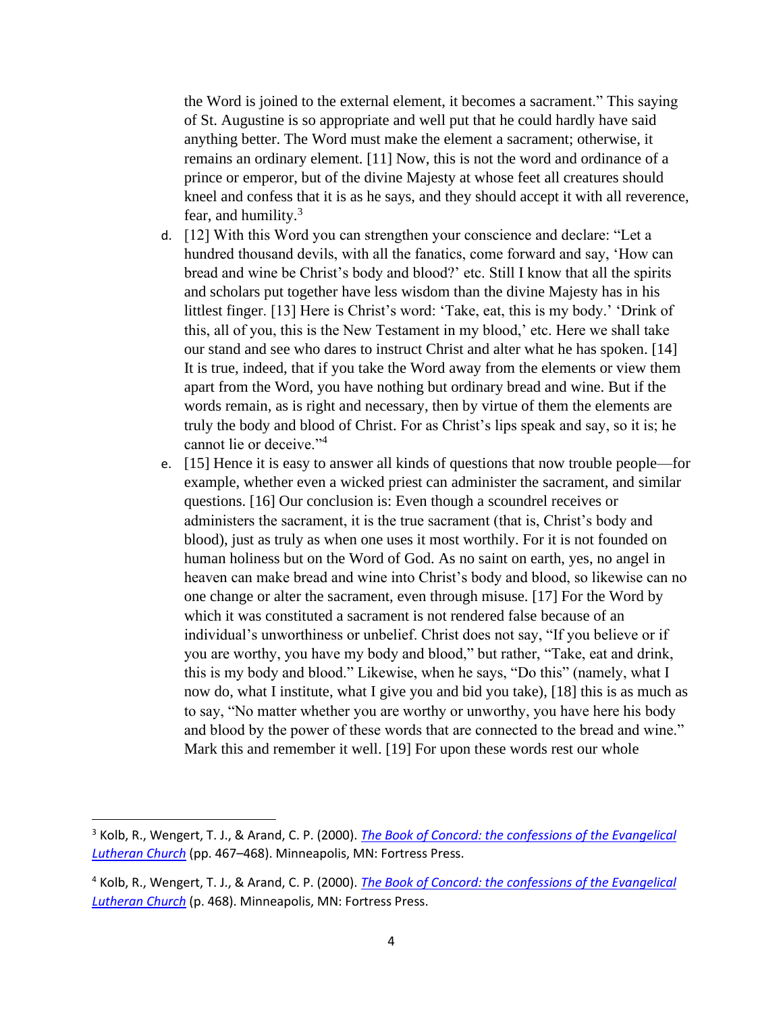the Word is joined to the external element, it becomes a sacrament." This saying of St. Augustine is so appropriate and well put that he could hardly have said anything better. The Word must make the element a sacrament; otherwise, it remains an ordinary element. [11] Now, this is not the word and ordinance of a prince or emperor, but of the divine Majesty at whose feet all creatures should kneel and confess that it is as he says, and they should accept it with all reverence, fear, and humility.<sup>3</sup>

- d. [12] With this Word you can strengthen your conscience and declare: "Let a hundred thousand devils, with all the fanatics, come forward and say, 'How can bread and wine be Christ's body and blood?' etc. Still I know that all the spirits and scholars put together have less wisdom than the divine Majesty has in his littlest finger. [13] Here is Christ's word: 'Take, eat, this is my body.' 'Drink of this, all of you, this is the New Testament in my blood,' etc. Here we shall take our stand and see who dares to instruct Christ and alter what he has spoken. [14] It is true, indeed, that if you take the Word away from the elements or view them apart from the Word, you have nothing but ordinary bread and wine. But if the words remain, as is right and necessary, then by virtue of them the elements are truly the body and blood of Christ. For as Christ's lips speak and say, so it is; he cannot lie or deceive."<sup>4</sup>
- e. [15] Hence it is easy to answer all kinds of questions that now trouble people—for example, whether even a wicked priest can administer the sacrament, and similar questions. [16] Our conclusion is: Even though a scoundrel receives or administers the sacrament, it is the true sacrament (that is, Christ's body and blood), just as truly as when one uses it most worthily. For it is not founded on human holiness but on the Word of God. As no saint on earth, yes, no angel in heaven can make bread and wine into Christ's body and blood, so likewise can no one change or alter the sacrament, even through misuse. [17] For the Word by which it was constituted a sacrament is not rendered false because of an individual's unworthiness or unbelief. Christ does not say, "If you believe or if you are worthy, you have my body and blood," but rather, "Take, eat and drink, this is my body and blood." Likewise, when he says, "Do this" (namely, what I now do, what I institute, what I give you and bid you take), [18] this is as much as to say, "No matter whether you are worthy or unworthy, you have here his body and blood by the power of these words that are connected to the bread and wine." Mark this and remember it well. [19] For upon these words rest our whole

<sup>3</sup> Kolb, R., Wengert, T. J., & Arand, C. P. (2000). *[The Book of Concord: the confessions of the Evangelical](https://ref.ly/logosres/klbcncrd?ref=Page.p+467&off=2767&ctx=rd+and+bound+to+it.%0a~%5b10%5d+It+is+the+Word%2c)  [Lutheran Church](https://ref.ly/logosres/klbcncrd?ref=Page.p+467&off=2767&ctx=rd+and+bound+to+it.%0a~%5b10%5d+It+is+the+Word%2c)* (pp. 467–468). Minneapolis, MN: Fortress Press.

<sup>4</sup> Kolb, R., Wengert, T. J., & Arand, C. P. (2000). *[The Book of Concord: the confessions of the Evangelical](https://ref.ly/logosres/klbcncrd?ref=Page.p+468&off=585)  [Lutheran Church](https://ref.ly/logosres/klbcncrd?ref=Page.p+468&off=585)* (p. 468). Minneapolis, MN: Fortress Press.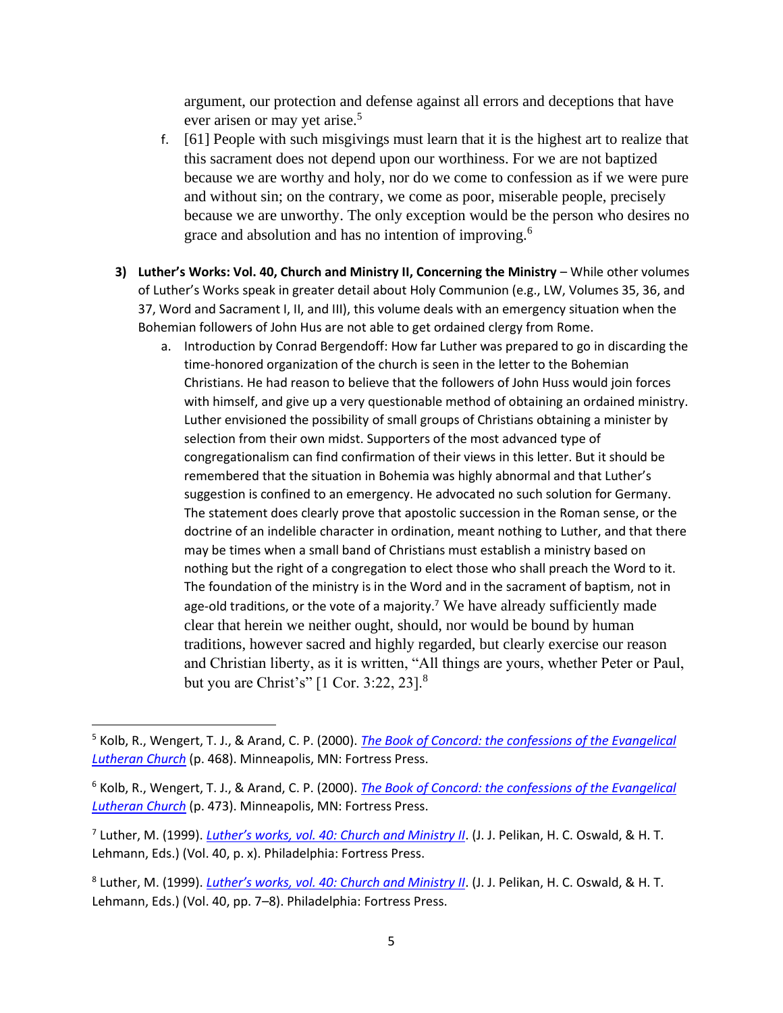argument, our protection and defense against all errors and deceptions that have ever arisen or may yet arise.<sup>5</sup>

- f. [61] People with such misgivings must learn that it is the highest art to realize that this sacrament does not depend upon our worthiness. For we are not baptized because we are worthy and holy, nor do we come to confession as if we were pure and without sin; on the contrary, we come as poor, miserable people, precisely because we are unworthy. The only exception would be the person who desires no grace and absolution and has no intention of improving.<sup>6</sup>
- **3) Luther's Works: Vol. 40, Church and Ministry II, Concerning the Ministry** While other volumes of Luther's Works speak in greater detail about Holy Communion (e.g., LW, Volumes 35, 36, and 37, Word and Sacrament I, II, and III), this volume deals with an emergency situation when the Bohemian followers of John Hus are not able to get ordained clergy from Rome.
	- a. Introduction by Conrad Bergendoff: How far Luther was prepared to go in discarding the time-honored organization of the church is seen in the letter to the Bohemian Christians. He had reason to believe that the followers of John Huss would join forces with himself, and give up a very questionable method of obtaining an ordained ministry. Luther envisioned the possibility of small groups of Christians obtaining a minister by selection from their own midst. Supporters of the most advanced type of congregationalism can find confirmation of their views in this letter. But it should be remembered that the situation in Bohemia was highly abnormal and that Luther's suggestion is confined to an emergency. He advocated no such solution for Germany. The statement does clearly prove that apostolic succession in the Roman sense, or the doctrine of an indelible character in ordination, meant nothing to Luther, and that there may be times when a small band of Christians must establish a ministry based on nothing but the right of a congregation to elect those who shall preach the Word to it. The foundation of the ministry is in the Word and in the sacrament of baptism, not in age-old traditions, or the vote of a majority.<sup>7</sup> We have already sufficiently made clear that herein we neither ought, should, nor would be bound by human traditions, however sacred and highly regarded, but clearly exercise our reason and Christian liberty, as it is written, "All things are yours, whether Peter or Paul, but you are Christ's" [1 Cor. 3:22, 23].<sup>8</sup>

<sup>5</sup> Kolb, R., Wengert, T. J., & Arand, C. P. (2000). *[The Book of Concord: the confessions of the Evangelical](https://ref.ly/logosres/klbcncrd?ref=Page.p+468&off=1660&ctx=ot+lie+or+deceive.%E2%80%9D%0a~%5b15%5d+Hence+it+is+eas)  [Lutheran Church](https://ref.ly/logosres/klbcncrd?ref=Page.p+468&off=1660&ctx=ot+lie+or+deceive.%E2%80%9D%0a~%5b15%5d+Hence+it+is+eas)* (p. 468). Minneapolis, MN: Fortress Press.

<sup>6</sup> Kolb, R., Wengert, T. J., & Arand, C. P. (2000). *[The Book of Concord: the confessions of the Evangelical](https://ref.ly/logosres/klbcncrd?ref=Page.p+473&off=1102&ctx=ir+flesh+and+blood.%0a~%5b61%5d+People+with+suc)  [Lutheran Church](https://ref.ly/logosres/klbcncrd?ref=Page.p+473&off=1102&ctx=ir+flesh+and+blood.%0a~%5b61%5d+People+with+suc)* (p. 473). Minneapolis, MN: Fortress Press.

<sup>7</sup> Luther, M. (1999). *[Luther's works, vol. 40: Church and Ministry II](https://ref.ly/logosres/lw40?ref=VolumePage.V+40%2c+p+x&off=917&ctx=work+of+the+Savior.%0a~How+far+Luther+was+p)*. (J. J. Pelikan, H. C. Oswald, & H. T. Lehmann, Eds.) (Vol. 40, p. x). Philadelphia: Fortress Press.

<sup>8</sup> Luther, M. (1999). *[Luther's works, vol. 40: Church and Ministry II](https://ref.ly/logosres/lw40?ref=VolumePage.V+40%2c+p+7&off=1606&ctx=one+in+this+matter.+~We+have+already+suff)*. (J. J. Pelikan, H. C. Oswald, & H. T. Lehmann, Eds.) (Vol. 40, pp. 7–8). Philadelphia: Fortress Press.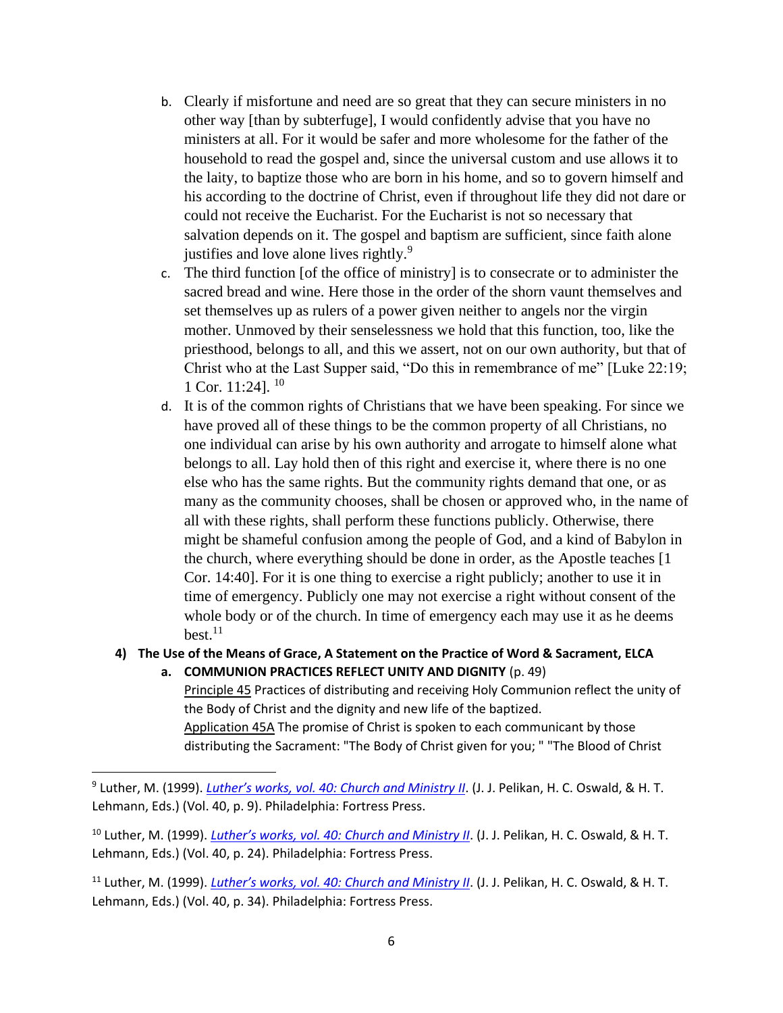- b. Clearly if misfortune and need are so great that they can secure ministers in no other way [than by subterfuge], I would confidently advise that you have no ministers at all. For it would be safer and more wholesome for the father of the household to read the gospel and, since the universal custom and use allows it to the laity, to baptize those who are born in his home, and so to govern himself and his according to the doctrine of Christ, even if throughout life they did not dare or could not receive the Eucharist. For the Eucharist is not so necessary that salvation depends on it. The gospel and baptism are sufficient, since faith alone justifies and love alone lives rightly.<sup>9</sup>
- c. The third function [of the office of ministry] is to consecrate or to administer the sacred bread and wine. Here those in the order of the shorn vaunt themselves and set themselves up as rulers of a power given neither to angels nor the virgin mother. Unmoved by their senselessness we hold that this function, too, like the priesthood, belongs to all, and this we assert, not on our own authority, but that of Christ who at the Last Supper said, "Do this in remembrance of me" [Luke 22:19; 1 Cor. 11:24].  $10$
- d. It is of the common rights of Christians that we have been speaking. For since we have proved all of these things to be the common property of all Christians, no one individual can arise by his own authority and arrogate to himself alone what belongs to all. Lay hold then of this right and exercise it, where there is no one else who has the same rights. But the community rights demand that one, or as many as the community chooses, shall be chosen or approved who, in the name of all with these rights, shall perform these functions publicly. Otherwise, there might be shameful confusion among the people of God, and a kind of Babylon in the church, where everything should be done in order, as the Apostle teaches [1 Cor. 14:40]. For it is one thing to exercise a right publicly; another to use it in time of emergency. Publicly one may not exercise a right without consent of the whole body or of the church. In time of emergency each may use it as he deems  $best.<sup>11</sup>$

# **4) The Use of the Means of Grace, A Statement on the Practice of Word & Sacrament, ELCA**

**a. COMMUNION PRACTICES REFLECT UNITY AND DIGNITY** (p. 49) Principle 45 Practices of distributing and receiving Holy Communion reflect the unity of the Body of Christ and the dignity and new life of the baptized. Application 45A The promise of Christ is spoken to each communicant by those distributing the Sacrament: "The Body of Christ given for you; " "The Blood of Christ

<sup>10</sup> Luther, M. (1999). *L[uther's works, vol. 40: Church and Ministry II](https://ref.ly/logosres/lw40?ref=VolumePage.V+40%2c+p+24&off=1073&ctx=+of+the+priesthood.%0a~The+third+function+i)*. (J. J. Pelikan, H. C. Oswald, & H. T. Lehmann, Eds.) (Vol. 40, p. 24). Philadelphia: Fortress Press.

<sup>11</sup> Luther, M. (1999). *[Luther's works, vol. 40: Church and Ministry II](https://ref.ly/logosres/lw40?ref=VolumePage.V+40%2c+p+34&off=205&ctx=n+a+pious+apostasy.%0a~It+is+of+the+common+)*. (J. J. Pelikan, H. C. Oswald, & H. T. Lehmann, Eds.) (Vol. 40, p. 34). Philadelphia: Fortress Press.

<sup>9</sup> Luther, M. (1999). *[Luther's works, vol. 40: Church and Ministry](https://ref.ly/logosres/lw40?ref=VolumePage.V+40%2c+p+9&off=1402&ctx=+of+these+monsters.+~Clearly+if+misfortun) II*. (J. J. Pelikan, H. C. Oswald, & H. T. Lehmann, Eds.) (Vol. 40, p. 9). Philadelphia: Fortress Press.